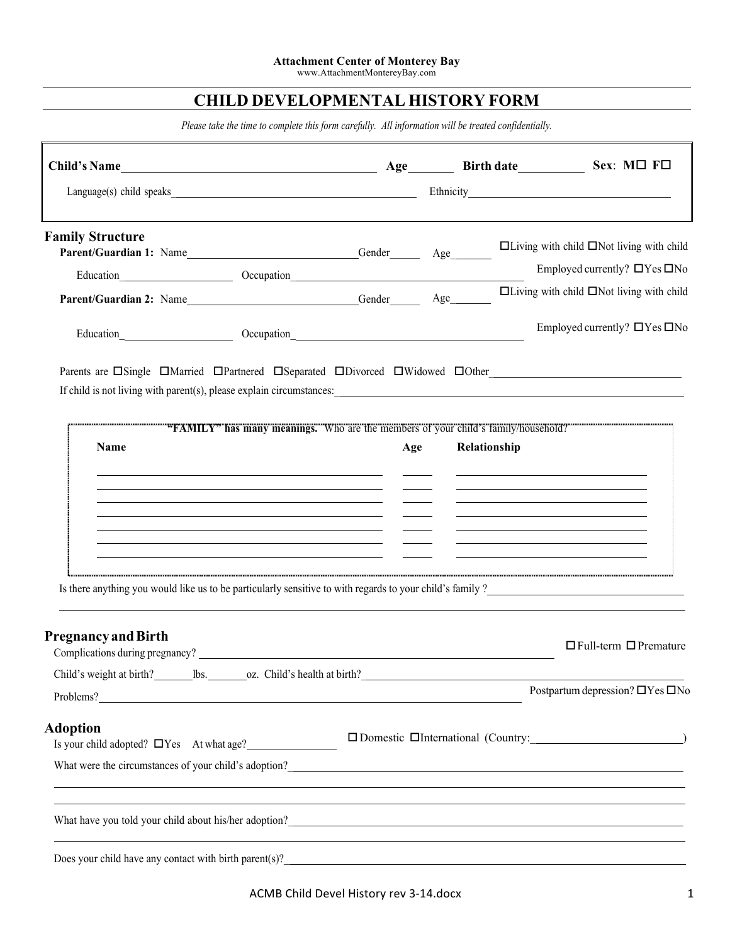## **CHILD DEVELOPMENTAL HISTORY FORM**

*Please take the time to complete this form carefully. All information will be treated confidentially.*

| Child's Name                                                                                                                                                                                                                          |                              |     |              | Age Birth date Sex: MO FO                                                        |
|---------------------------------------------------------------------------------------------------------------------------------------------------------------------------------------------------------------------------------------|------------------------------|-----|--------------|----------------------------------------------------------------------------------|
|                                                                                                                                                                                                                                       |                              |     |              |                                                                                  |
| <b>Family Structure</b>                                                                                                                                                                                                               |                              |     |              | $\Box$ Living with child $\Box$ Not living with child                            |
| Education Cocupation Construction Constant Construction Cocupation                                                                                                                                                                    |                              |     |              | Employed currently? $\Box$ Yes $\Box$ No                                         |
|                                                                                                                                                                                                                                       |                              |     |              | $\Box$ Living with child $\Box$ Not living with child                            |
| Education <b>Community Community Community</b> Community Community Community Community Community Community Community Community Community Community Community Community Community Community Community Community Community Community    |                              |     |              | Employed currently? $\Box$ Yes $\Box$ No                                         |
| Parents are $\Box$ Single $\Box$ Married $\Box$ Partnered $\Box$ Separated $\Box$ Divorced $\Box$ Widowed $\Box$ Other                                                                                                                |                              |     |              |                                                                                  |
| <b>Name</b>                                                                                                                                                                                                                           |                              | Age | Relationship |                                                                                  |
|                                                                                                                                                                                                                                       |                              |     |              |                                                                                  |
|                                                                                                                                                                                                                                       |                              |     |              |                                                                                  |
| Is there anything you would like us to be particularly sensitive to with regards to your child's family?                                                                                                                              |                              |     |              |                                                                                  |
| <b>Pregnancy and Birth</b><br>Complications during pregnancy?                                                                                                                                                                         |                              |     |              | $\Box$ Full-term $\Box$ Premature                                                |
| Child's weight at birth?<br>lbs.                                                                                                                                                                                                      | oz. Child's health at birth? |     |              |                                                                                  |
| Problems?                                                                                                                                                                                                                             |                              |     |              | Postpartum depression? $\Box$ Yes $\Box$ No                                      |
| <b>Adoption</b><br>Is your child adopted? $\Box$ Yes At what age?                                                                                                                                                                     |                              |     |              | □ Domestic □ International (Country: 1999)                                       |
| <u> 1989 - Johann Stoff, amerikansk politiker (d. 1989)</u>                                                                                                                                                                           |                              |     |              |                                                                                  |
|                                                                                                                                                                                                                                       |                              |     |              | ,我们也不会有什么。""我们的人,我们也不会有什么?""我们的人,我们也不会有什么?""我们的人,我们也不会有什么?""我们的人,我们也不会有什么?""我们的人 |
| Does your child have any contact with birth parent(s)?<br><u>Canadian Contract with the parent</u> (s) and the contract with the parent (s) and the contract of the contract of the contract of the contract of the contract of the c |                              |     |              |                                                                                  |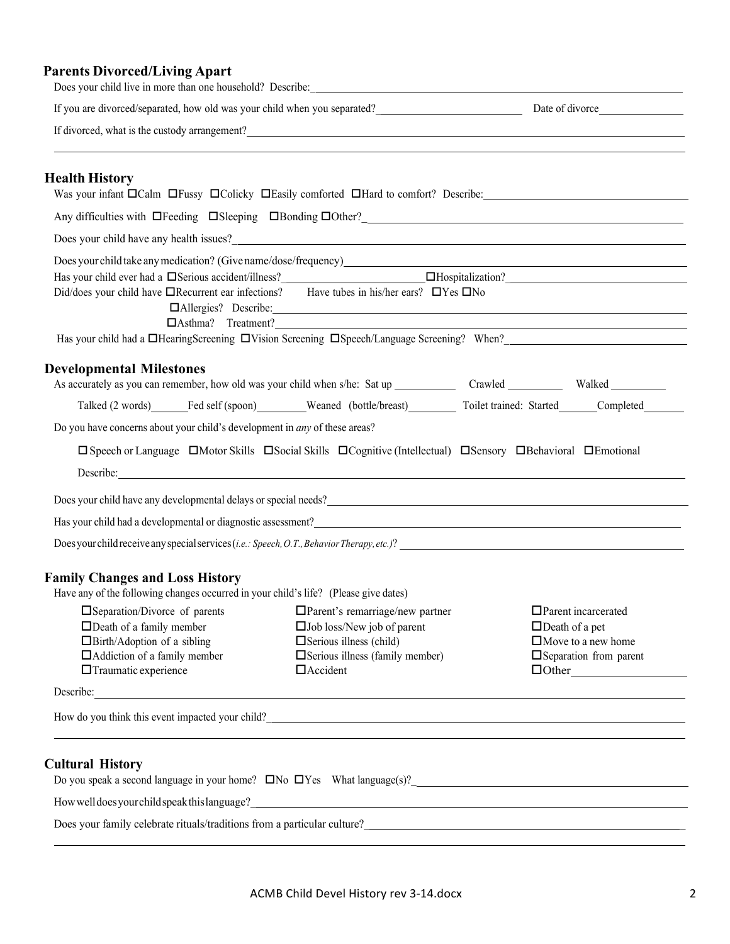#### **Parents Divorced/Living Apart**

| Does your child live in more than one household? Describe:                                                                                                                                                                                 |                                                                                                                                                                                                                                      |                                                    |
|--------------------------------------------------------------------------------------------------------------------------------------------------------------------------------------------------------------------------------------------|--------------------------------------------------------------------------------------------------------------------------------------------------------------------------------------------------------------------------------------|----------------------------------------------------|
|                                                                                                                                                                                                                                            |                                                                                                                                                                                                                                      |                                                    |
|                                                                                                                                                                                                                                            |                                                                                                                                                                                                                                      |                                                    |
|                                                                                                                                                                                                                                            |                                                                                                                                                                                                                                      |                                                    |
| <b>Health History</b><br>Was your infant DCalm DFussy DColicky DEasily comforted DHard to comfort? Describe:                                                                                                                               |                                                                                                                                                                                                                                      |                                                    |
| Any difficulties with DFeeding DSleeping DBonding DOther?<br>1990 - Any difficulties with DFeeding DSleeping DBonding DOther?<br>2001 - Any difficulties with DFeeding DSleeping DBonding DOther?<br>2011 - Any difficulties with DF       |                                                                                                                                                                                                                                      |                                                    |
| Does your child have any health issues?<br><u>Leading</u> the material contract the same of the same of the same of the same of the same of the same of the same of the same of the same of the same of the same of the same of the s      |                                                                                                                                                                                                                                      |                                                    |
|                                                                                                                                                                                                                                            |                                                                                                                                                                                                                                      |                                                    |
| Has your child ever had a Serious accident/illness?<br>Serious accident/illness?<br>Serious accident/illness?<br>Subsetted: CHospitalization?<br>Subsetted: CHospitalization?<br>Subsetted: CHospitalization?<br>Subsetted: CHOSPITAL: CHO |                                                                                                                                                                                                                                      |                                                    |
| Did/does your child have □Recurrent ear infections? Have tubes in his/her ears? □Yes □No                                                                                                                                                   |                                                                                                                                                                                                                                      |                                                    |
|                                                                                                                                                                                                                                            | □Allergies? Describe: <u>● 2000 manual</u>                                                                                                                                                                                           |                                                    |
|                                                                                                                                                                                                                                            | Has your child had a <b>OHearingScreening</b> DVision Screening DSpeech/Language Screening? When?                                                                                                                                    |                                                    |
|                                                                                                                                                                                                                                            |                                                                                                                                                                                                                                      |                                                    |
| <b>Developmental Milestones</b>                                                                                                                                                                                                            |                                                                                                                                                                                                                                      |                                                    |
|                                                                                                                                                                                                                                            | Talked (2 words) Fed self (spoon) Weaned (bottle/breast) Toilet trained: Started Completed                                                                                                                                           |                                                    |
| Do you have concerns about your child's development in <i>any</i> of these areas?                                                                                                                                                          |                                                                                                                                                                                                                                      |                                                    |
|                                                                                                                                                                                                                                            |                                                                                                                                                                                                                                      |                                                    |
|                                                                                                                                                                                                                                            | □ Speech or Language □ Motor Skills □ Social Skills □ Cognitive (Intellectual) □ Sensory □ Behavioral □ Emotional                                                                                                                    |                                                    |
|                                                                                                                                                                                                                                            | Describe: <u>International Contract Contract Contract Contract Contract Contract Contract Contract Contract Contract Contract Contract Contract Contract Contract Contract Contract Contract Contract Contract Contract Contract</u> |                                                    |
| Does your child have any developmental delays or special needs?<br><u>Letter and the contract of the contract of the contract of the contract of the contract of the contract of the contract of the contract of the contract of t</u>     |                                                                                                                                                                                                                                      |                                                    |
| Has your child had a developmental or diagnostic assessment?<br>The matter of the contract of the contract of the contract of the contract of the contract of the contract of the contract of the contract of the contract of th           |                                                                                                                                                                                                                                      |                                                    |
|                                                                                                                                                                                                                                            |                                                                                                                                                                                                                                      |                                                    |
| <b>Family Changes and Loss History</b>                                                                                                                                                                                                     |                                                                                                                                                                                                                                      |                                                    |
| Have any of the following changes occurred in your child's life? (Please give dates)                                                                                                                                                       |                                                                                                                                                                                                                                      |                                                    |
| □ Separation/Divorce of parents                                                                                                                                                                                                            | $\Box$ Parent's remarriage/new partner                                                                                                                                                                                               | $\Box$ Parent incarcerated                         |
| $\Box$ Death of a family member<br>$\Box$ Birth/Adoption of a sibling                                                                                                                                                                      | $\square$ Job loss/New job of parent<br>$\square$ Serious illness (child)                                                                                                                                                            | $\Box$ Death of a pet<br>$\Box$ Move to a new home |
| $\Box$ Addiction of a family member                                                                                                                                                                                                        | $\square$ Serious illness (family member)                                                                                                                                                                                            | $\square$ Separation from parent                   |
| $\Box$ Traumatic experience                                                                                                                                                                                                                | $\Box$ Accident                                                                                                                                                                                                                      |                                                    |
| Describe:                                                                                                                                                                                                                                  |                                                                                                                                                                                                                                      |                                                    |
| How do you think this event impacted your child?<br><u>Letting</u> the contract of the contract of the contract of the contract of the contract of the contract of the contract of the contract of the contract of the contract of th      |                                                                                                                                                                                                                                      |                                                    |
|                                                                                                                                                                                                                                            |                                                                                                                                                                                                                                      |                                                    |
| <b>Cultural History</b>                                                                                                                                                                                                                    |                                                                                                                                                                                                                                      |                                                    |
| Do you speak a second language in your home? $\Box$ No $\Box$ Yes What language(s)?                                                                                                                                                        |                                                                                                                                                                                                                                      |                                                    |
|                                                                                                                                                                                                                                            | How well does your child speak this language?                                                                                                                                                                                        |                                                    |
|                                                                                                                                                                                                                                            |                                                                                                                                                                                                                                      |                                                    |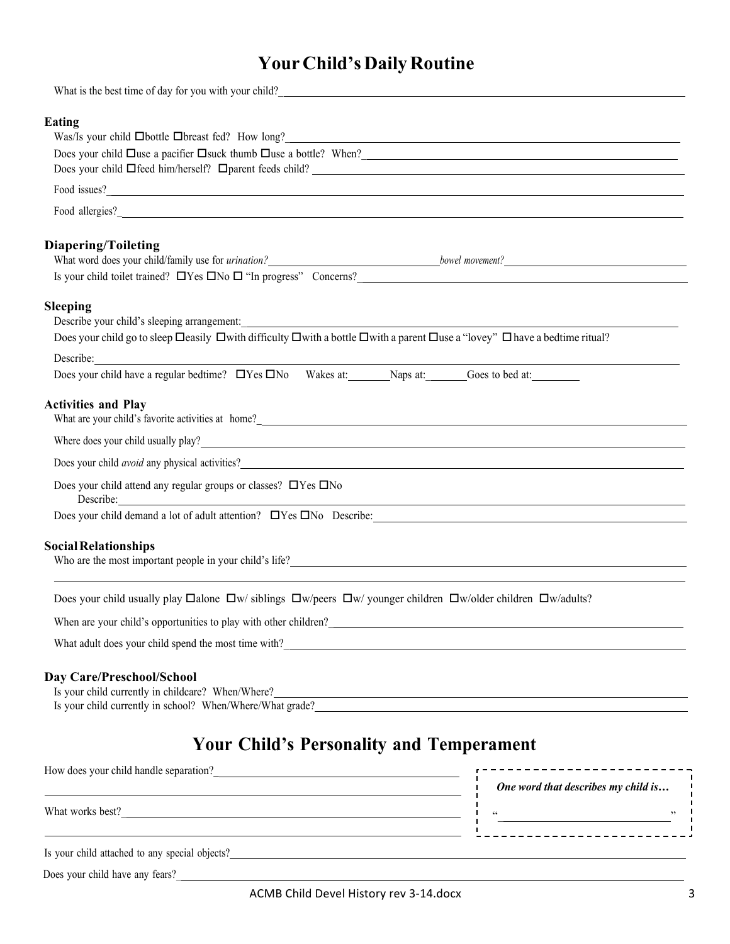# **Your Child's Daily Routine**

| What is the best time of day for you with your child?                                                                                                                                                                                                                                                                                                                                                                                                  |                                     |
|--------------------------------------------------------------------------------------------------------------------------------------------------------------------------------------------------------------------------------------------------------------------------------------------------------------------------------------------------------------------------------------------------------------------------------------------------------|-------------------------------------|
| <b>Eating</b><br>Was/Is your child <b>Obottle Obreast fed?</b> How long?<br><u> Was</u> /Is your child <b>Obottle Obreast fed?</b> How long?<br>Does your child Duse a pacifier Dsuck thumb Duse a bottle? When?<br>Does your child Ifeed him/herself? I parent feeds child?<br>1990 - Andrea Management Ann Alexander Ann Alexander Ann Alexander Ann Alexander Ann Alexander Ann Alexander<br>1991 - Ann Alexander Ann Alexander Ann Alexander Ann A |                                     |
|                                                                                                                                                                                                                                                                                                                                                                                                                                                        |                                     |
|                                                                                                                                                                                                                                                                                                                                                                                                                                                        |                                     |
| <b>Diapering/Toileting</b>                                                                                                                                                                                                                                                                                                                                                                                                                             |                                     |
| <b>Sleeping</b><br>Does your child go to sleep Deasily Dwith difficulty Dwith a bottle Dwith a parent Duse a "lovey" Dhave a bedtime ritual?                                                                                                                                                                                                                                                                                                           |                                     |
| Describe:<br>Does your child have a regular bedtime? $\Box$ Yes $\Box$ No Wakes at: Naps at: Goes to bed at:                                                                                                                                                                                                                                                                                                                                           |                                     |
| <b>Activities and Play</b>                                                                                                                                                                                                                                                                                                                                                                                                                             |                                     |
| Where does your child usually play?<br><u> and</u> the state of the state of the state of the state of the state of the state of the state of the state of the state of the state of the state of the state of the state of the state                                                                                                                                                                                                                  |                                     |
| Does your child <i>avoid</i> any physical activities?                                                                                                                                                                                                                                                                                                                                                                                                  |                                     |
| Does your child attend any regular groups or classes? $\Box$ Yes $\Box$ No<br>Describe:<br><u> 1989 - Johann Barnett, fransk politiker (d. 1989)</u>                                                                                                                                                                                                                                                                                                   |                                     |
| Does your child demand a lot of adult attention? DYes DNo Describe: Manufacture and a lot of adult attention? DYes DNo Describe:                                                                                                                                                                                                                                                                                                                       |                                     |
| <b>Social Relationships</b>                                                                                                                                                                                                                                                                                                                                                                                                                            |                                     |
| Does your child usually play $\Box$ alone $\Box w$ siblings $\Box w$ /peers $\Box w$ /younger children $\Box w$ /older children $\Box w$ /adults?                                                                                                                                                                                                                                                                                                      |                                     |
| When are your child's opportunities to play with other children?<br><u>Letter and the contract of the children</u> and the children of the children of the children of the children of the children of the children of the children o                                                                                                                                                                                                                  |                                     |
| What adult does your child spend the most time with?<br><u>Letting and the most time with?</u>                                                                                                                                                                                                                                                                                                                                                         |                                     |
| <b>Day Care/Preschool/School</b><br>Is your child currently in childcare? When/Where?<br>Is your child currently in school? When/Where/What grade?<br>Microsensity of the school of the school of the school of the school of the school of the school of the school of the school of the school of the school of the sch                                                                                                                              |                                     |
| <b>Your Child's Personality and Temperament</b>                                                                                                                                                                                                                                                                                                                                                                                                        |                                     |
| How does your child handle separation?<br><u> </u><br><u> 1989 - Johann Barbara, martxa alemaniar arg</u>                                                                                                                                                                                                                                                                                                                                              | One word that describes my child is |
| What works best?<br><u> 1989 - Johann Stoff, deutscher Stoff, der Stoff, der Stoff, der Stoff, der Stoff, der Stoff, der Stoff, der S</u>                                                                                                                                                                                                                                                                                                              |                                     |
| Is your child attached to any special objects?                                                                                                                                                                                                                                                                                                                                                                                                         |                                     |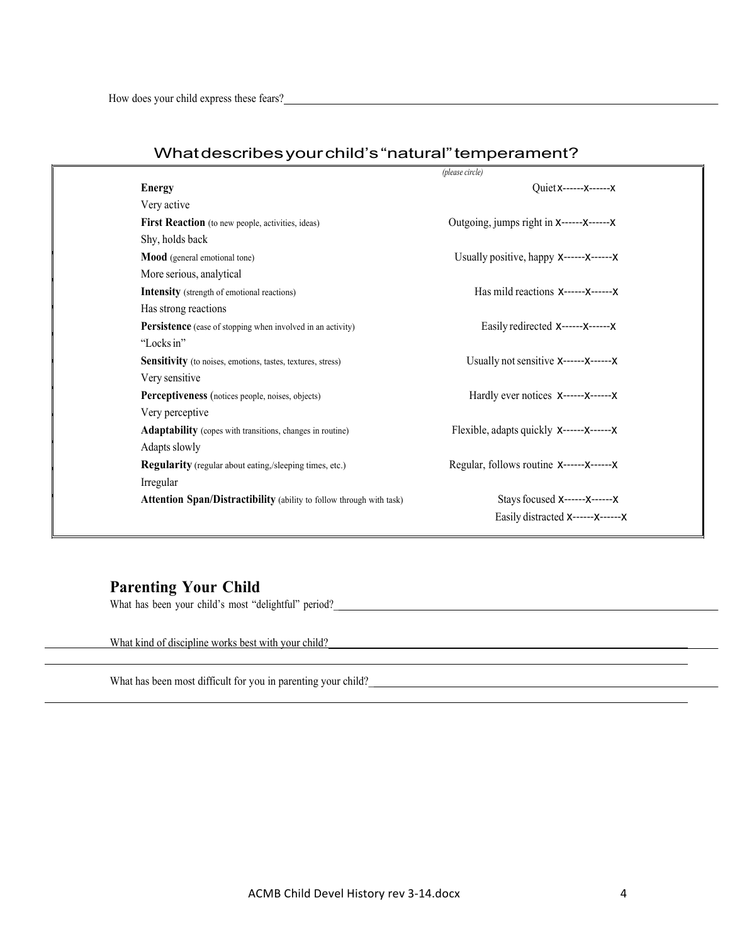|                                                                             | (please circle)                            |
|-----------------------------------------------------------------------------|--------------------------------------------|
| <b>Energy</b>                                                               | Quiet x------ x------ x                    |
| Very active                                                                 |                                            |
| <b>First Reaction</b> (to new people, activities, ideas)                    | Outgoing, jumps right in X------X-------X  |
| Shy, holds back                                                             |                                            |
| <b>Mood</b> (general emotional tone)                                        | Usually positive, happy X------X--------X  |
| More serious, analytical                                                    |                                            |
| <b>Intensity</b> (strength of emotional reactions)                          | Has mild reactions X------X-------X        |
| Has strong reactions                                                        |                                            |
| <b>Persistence</b> (ease of stopping when involved in an activity)          | Easily redirected X------X-------X         |
| "Locks in"                                                                  |                                            |
| <b>Sensitivity</b> (to noises, emotions, tastes, textures, stress)          | Usually not sensitive X------X-------X     |
| Very sensitive                                                              |                                            |
| Perceptiveness (notices people, noises, objects)                            | Hardly ever notices X------X-------X       |
| Very perceptive                                                             |                                            |
| <b>Adaptability</b> (copes with transitions, changes in routine)            | Flexible, adapts quickly X------X--------X |
| Adapts slowly                                                               |                                            |
| <b>Regularity</b> (regular about eating,/sleeping times, etc.)              | Regular, follows routine X------X-------X  |
| Irregular                                                                   |                                            |
| <b>Attention Span/Distractibility</b> (ability to follow through with task) | Stays focused X------X-------X             |
|                                                                             | Easily distracted X------X-------X         |
|                                                                             |                                            |

### Whatdescribesyourchild's"natural"temperament?

## **Parenting Your Child**

What has been your child's most "delightful" period?

What kind of discipline works best with your child?

What has been most difficult for you in parenting your child?\_